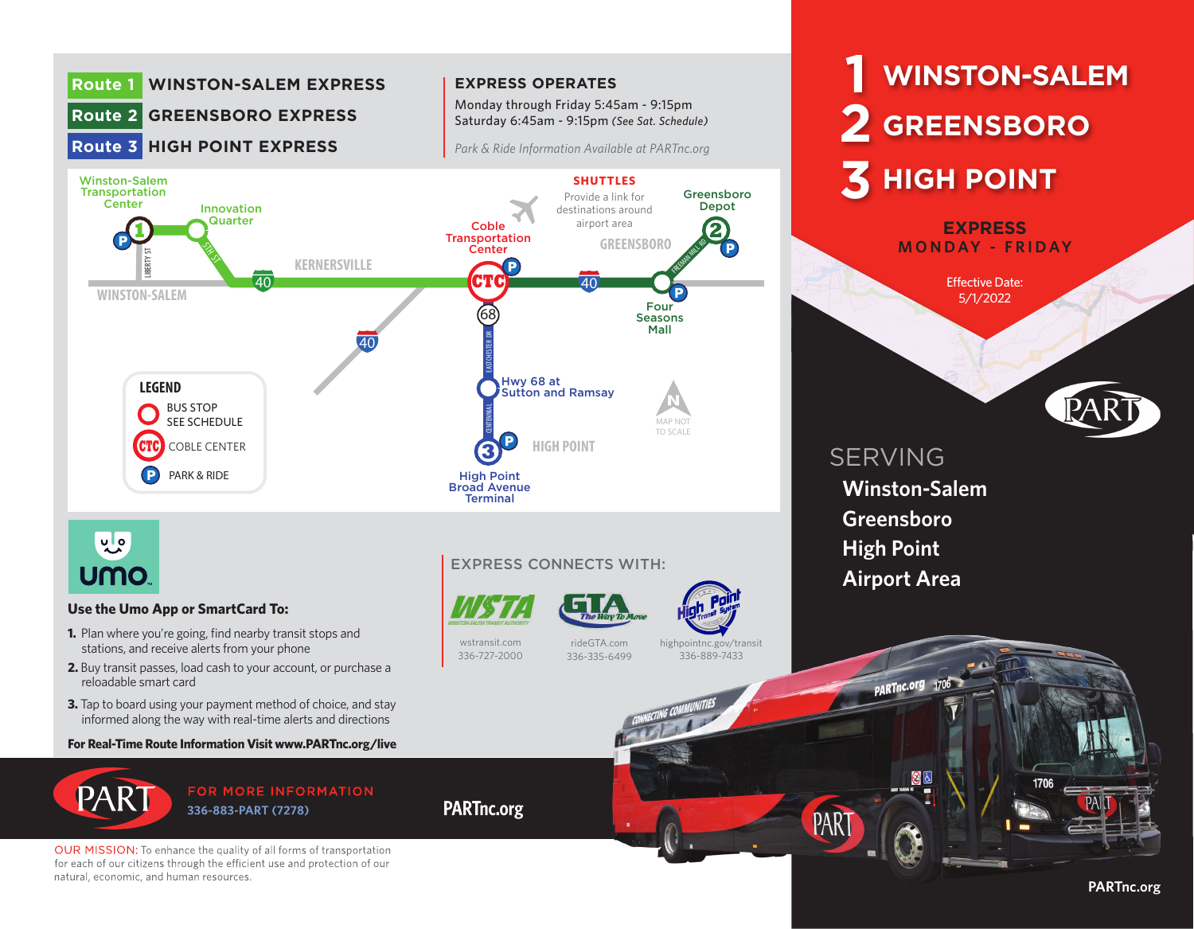

for each of our citizens through the efficient use and protection of our natural, economic, and human resources.